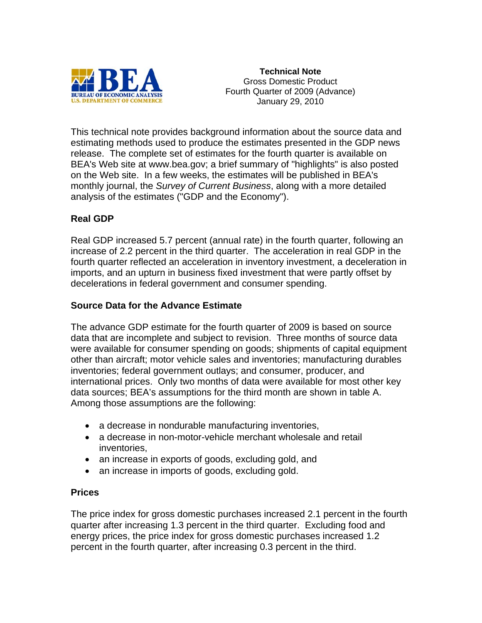

**Technical Note**  Gross Domestic Product Fourth Quarter of 2009 (Advance) January 29, 2010

This technical note provides background information about the source data and estimating methods used to produce the estimates presented in the GDP news release. The complete set of estimates for the fourth quarter is available on BEA's Web site at www.bea.gov; a brief summary of "highlights" is also posted on the Web site. In a few weeks, the estimates will be published in BEA's monthly journal, the *Survey of Current Business*, along with a more detailed analysis of the estimates ("GDP and the Economy").

# **Real GDP**

Real GDP increased 5.7 percent (annual rate) in the fourth quarter, following an increase of 2.2 percent in the third quarter. The acceleration in real GDP in the fourth quarter reflected an acceleration in inventory investment, a deceleration in imports, and an upturn in business fixed investment that were partly offset by decelerations in federal government and consumer spending.

## **Source Data for the Advance Estimate**

The advance GDP estimate for the fourth quarter of 2009 is based on source data that are incomplete and subject to revision. Three months of source data were available for consumer spending on goods; shipments of capital equipment other than aircraft; motor vehicle sales and inventories; manufacturing durables inventories; federal government outlays; and consumer, producer, and international prices. Only two months of data were available for most other key data sources; BEA's assumptions for the third month are shown in table A. Among those assumptions are the following:

- a decrease in nondurable manufacturing inventories,
- a decrease in non-motor-vehicle merchant wholesale and retail inventories,
- an increase in exports of goods, excluding gold, and
- an increase in imports of goods, excluding gold.

## **Prices**

The price index for gross domestic purchases increased 2.1 percent in the fourth quarter after increasing 1.3 percent in the third quarter. Excluding food and energy prices, the price index for gross domestic purchases increased 1.2 percent in the fourth quarter, after increasing 0.3 percent in the third.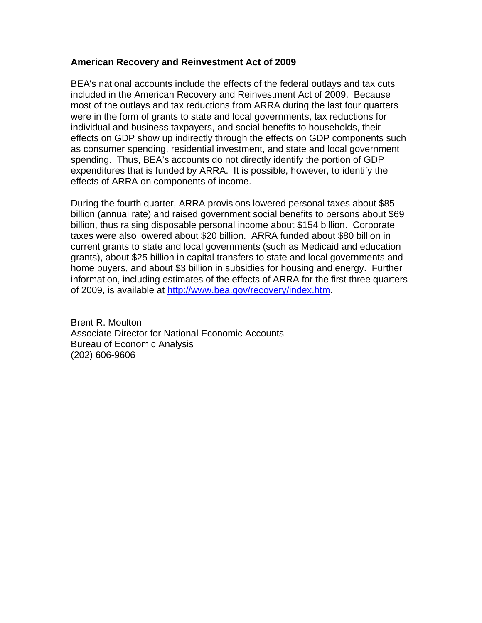#### **American Recovery and Reinvestment Act of 2009**

BEA's national accounts include the effects of the federal outlays and tax cuts included in the American Recovery and Reinvestment Act of 2009. Because most of the outlays and tax reductions from ARRA during the last four quarters were in the form of grants to state and local governments, tax reductions for individual and business taxpayers, and social benefits to households, their effects on GDP show up indirectly through the effects on GDP components such as consumer spending, residential investment, and state and local government spending. Thus, BEA's accounts do not directly identify the portion of GDP expenditures that is funded by ARRA. It is possible, however, to identify the effects of ARRA on components of income.

During the fourth quarter, ARRA provisions lowered personal taxes about \$85 billion (annual rate) and raised government social benefits to persons about \$69 billion, thus raising disposable personal income about \$154 billion. Corporate taxes were also lowered about \$20 billion. ARRA funded about \$80 billion in current grants to state and local governments (such as Medicaid and education grants), about \$25 billion in capital transfers to state and local governments and home buyers, and about \$3 billion in subsidies for housing and energy. Further information, including estimates of the effects of ARRA for the first three quarters of 2009, is available at <http://www.bea.gov/recovery/index.htm>.

Brent R. Moulton Associate Director for National Economic Accounts Bureau of Economic Analysis (202) 606-9606